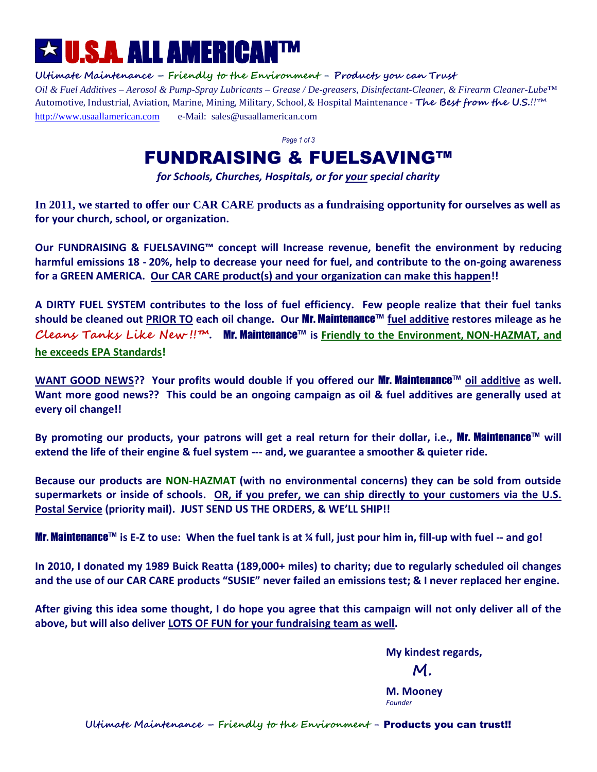# U.S.A. ALL AMERICAN™

**Ultimate Maintenance – Friendly to the Environment - Products you can Trust** *Oil & Fuel Additives – Aerosol & Pump-Spray Lubricants – Grease / De-greasers, Disinfectant-Cleaner, & Firearm Cleaner-Lube*™ Automotive, Industrial, Aviation, Marine, Mining, Military, School, & Hospital Maintenance - **The Best from the U.S.**!!™ http://www.usaallamerican.com e-Mail: sales@usaallamerican.com

*Page 1 of 3*

## FUNDRAISING & FUELSAVING™

*for Schools, Churches, Hospitals, or for your special charity*

**In 2011, we started to offer our CAR CARE products as a fundraising opportunity for ourselves as well as for your church, school, or organization.** 

**Our FUNDRAISING & FUELSAVING™ concept will Increase revenue, benefit the environment by reducing harmful emissions 18 - 20%, help to decrease your need for fuel, and contribute to the on-going awareness for a GREEN AMERICA. Our CAR CARE product(s) and your organization can make this happen!!**

**A DIRTY FUEL SYSTEM contributes to the loss of fuel efficiency. Few people realize that their fuel tanks should be cleaned out PRIOR TO each oil change. Our** Mr. Maintenance™ **fuel additive restores mileage as he Cleans Tanks Like New !!™.** Mr. Maintenance™ **is Friendly to the Environment, NON-HAZMAT, and he exceeds EPA Standards!**

**WANT GOOD NEWS?? Your profits would double if you offered our** Mr. Maintenance™ **oil additive as well. Want more good news?? This could be an ongoing campaign as oil & fuel additives are generally used at every oil change!!** 

**By promoting our products, your patrons will get a real return for their dollar, i.e.,** Mr. Maintenance™ **will extend the life of their engine & fuel system --- and, we guarantee a smoother & quieter ride.**

**Because our products are NON-HAZMAT (with no environmental concerns) they can be sold from outside supermarkets or inside of schools. OR, if you prefer, we can ship directly to your customers via the U.S. Postal Service (priority mail). JUST SEND US THE ORDERS, & WE'LL SHIP!!** 

Mr. Maintenance™ **is E-Z to use: When the fuel tank is at ¼ full, just pour him in, fill-up with fuel -- and go!**

**In 2010, I donated my 1989 Buick Reatta (189,000+ miles) to charity; due to regularly scheduled oil changes and the use of our CAR CARE products "SUSIE" never failed an emissions test; & I never replaced her engine.** 

**After giving this idea some thought, I do hope you agree that this campaign will not only deliver all of the above, but will also deliver LOTS OF FUN for your fundraising team as well.** 

**My kindest regards,**

 **M.**

**M. Mooney** *Founder*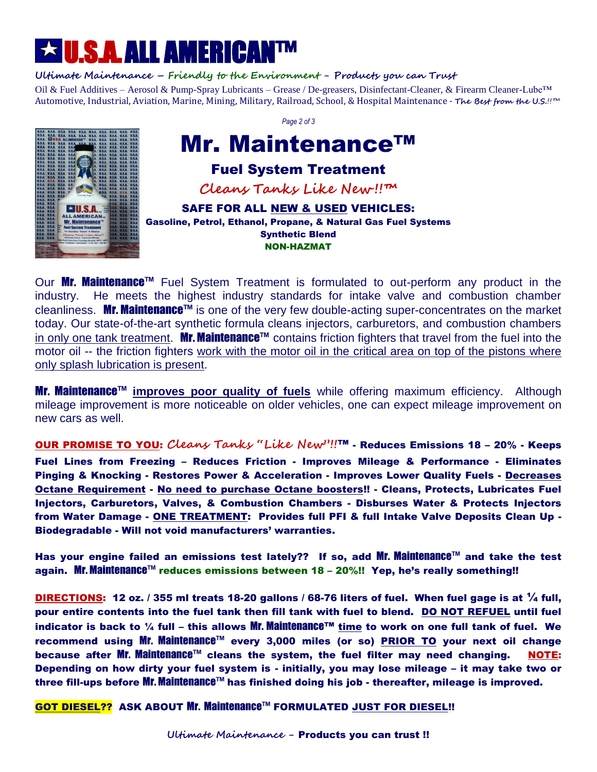# U.S.A. ALL AMERICAN™

#### **Ultimate Maintenance – Friendly to the Environment - Products you can Trust**

Oil & Fuel Additives – Aerosol & Pump-Spray Lubricants – Grease / De-greasers, Disinfectant-Cleaner, & Firearm Cleaner-Lube™ Automotive, Industrial, Aviation, Marine, Mining, Military, Railroad, School, & Hospital Maintenance - **The Best from the U.S.**!!™



*Page 2 of 3*

## Mr. Maintenance™

## Fuel System Treatment

**Cleans Tanks Like New !!™**

SAFE FOR ALL NEW & USED VEHICLES: Gasoline, Petrol, Ethanol, Propane, & Natural Gas Fuel Systems Synthetic Blend NON-HAZMAT

Our Mr. Maintenance<sup>™</sup> Fuel System Treatment is formulated to out-perform any product in the industry. He meets the highest industry standards for intake valve and combustion chamber cleanliness. Mr. Maintenance™ is one of the very few double-acting super-concentrates on the market today. Our state-of-the-art synthetic formula cleans injectors, carburetors, and combustion chambers in only one tank treatment. Mr. Maintenance™ contains friction fighters that travel from the fuel into the motor oil -- the friction fighters work with the motor oil in the critical area on top of the pistons where only splash lubrication is present.

Mr. Maintenance™ **improves poor quality of fuels** while offering maximum efficiency. Although mileage improvement is more noticeable on older vehicles, one can expect mileage improvement on new cars as well.

OUR PROMISE TO YOU: **Cleans Tanks "Like New"!!**™ - Reduces Emissions 18 – 20% - Keeps Fuel Lines from Freezing – Reduces Friction - Improves Mileage & Performance - Eliminates Pinging & Knocking - Restores Power & Acceleration - Improves Lower Quality Fuels - Decreases Octane Requirement - No need to purchase Octane boosters!! - Cleans, Protects, Lubricates Fuel Injectors, Carburetors, Valves, & Combustion Chambers - Disburses Water & Protects Injectors from Water Damage - ONE TREATMENT: Provides full PFI & full Intake Valve Deposits Clean Up - Biodegradable - Will not void manufacturers' warranties.

Has your engine failed an emissions test lately?? If so, add Mr. Maintenance™ and take the test again. Mr. Maintenance™ reduces emissions between 18 - 20%!! Yep, he's really something!!

DIRECTIONS: 12 oz. / 355 ml treats 18-20 gallons / 68-76 liters of fuel. When fuel gage is at  $\frac{1}{4}$  full, pour entire contents into the fuel tank then fill tank with fuel to blend. DO NOT REFUEL until fuel indicator is back to ¼ full – this allows Mr. Maintenance™ time to work on one full tank of fuel. We recommend using Mr. Maintenance™ every 3,000 miles (or so) PRIOR TO your next oil change because after Mr. Maintenance™ cleans the system, the fuel filter may need changing. NOTE: Depending on how dirty your fuel system is - initially, you may lose mileage – it may take two or three fill-ups before Mr. Maintenance™ has finished doing his job - thereafter, mileage is improved.

GOT DIESEL?? ASK ABOUT Mr. Maintenance™ FORMULATED JUST FOR DIESEL!!